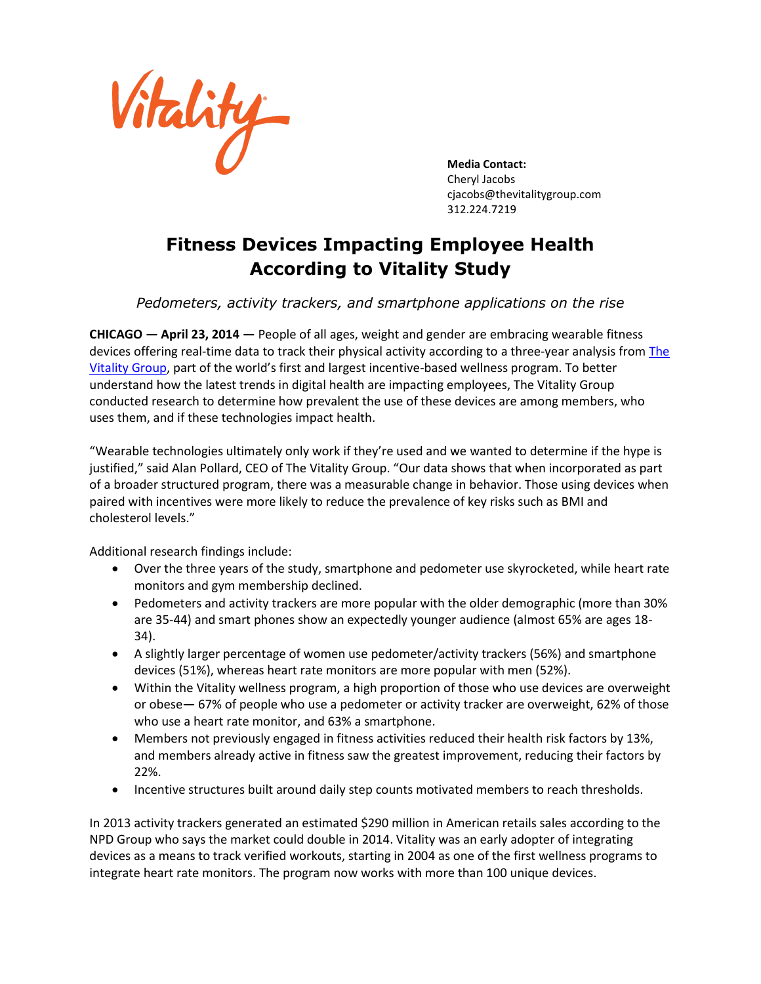

**Media Contact:** Cheryl Jacobs [cjacobs@thevitalitygroup.com](mailto:cjacobs@thevitalitygroup.com) 312.224.7219

## **Fitness Devices Impacting Employee Health According to Vitality Study**

*Pedometers, activity trackers, and smartphone applications on the rise*

**CHICAGO — April 23, 2014 —** People of all ages, weight and gender are embracing wearable fitness devices offering real-time data to track their physical activity according to a three-year analysis from The [Vitality Group](http://thevitalitygroup.com/), part of the world's first and largest incentive-based wellness program. To better understand how the latest trends in digital health are impacting employees, The Vitality Group conducted research to determine how prevalent the use of these devices are among members, who uses them, and if these technologies impact health.

"Wearable technologies ultimately only work if they're used and we wanted to determine if the hype is justified," said Alan Pollard, CEO of The Vitality Group. "Our data shows that when incorporated as part of a broader structured program, there was a measurable change in behavior. Those using devices when paired with incentives were more likely to reduce the prevalence of key risks such as BMI and cholesterol levels."

Additional research findings include:

- Over the three years of the study, smartphone and pedometer use skyrocketed, while heart rate monitors and gym membership declined.
- Pedometers and activity trackers are more popular with the older demographic (more than 30% are 35-44) and smart phones show an expectedly younger audience (almost 65% are ages 18- 34).
- A slightly larger percentage of women use pedometer/activity trackers (56%) and smartphone devices (51%), whereas heart rate monitors are more popular with men (52%).
- Within the Vitality wellness program, a high proportion of those who use devices are overweight or obese**—** 67% of people who use a pedometer or activity tracker are overweight, 62% of those who use a heart rate monitor, and 63% a smartphone.
- Members not previously engaged in fitness activities reduced their health risk factors by 13%, and members already active in fitness saw the greatest improvement, reducing their factors by 22%.
- Incentive structures built around daily step counts motivated members to reach thresholds.

In 2013 activity trackers generated an estimated \$290 million in American retails sales according to the NPD Group who says the market could double in 2014. Vitality was an early adopter of integrating devices as a means to track verified workouts, starting in 2004 as one of the first wellness programs to integrate heart rate monitors. The program now works with more than 100 unique devices.